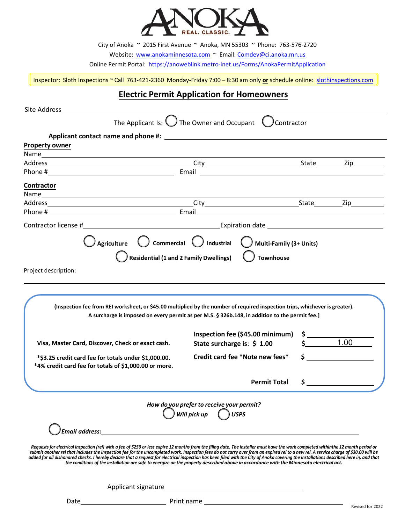

City of Anoka ~ 2015 First Avenue ~ Anoka, MN 55303 ~ Phone: 763-576-2720

Website: [www.anokaminnesota.com](https://www.anokaminnesota.com/) ~ Email: Comdev@[ci.anoka.mn.us](mailto:Comdev@ci.anoka.mn.us)

Online Permit Portal: <https://anoweblink.metro-inet.us/Forms/AnokaPermitApplication>

Inspector: Sloth Inspections ~ Call 763-421-2360 Monday-Friday 7:00 – 8:30 am only **or** schedule online: [slothinspections.com](https://slothinspections.com/index.php)

## **Electric Permit Application for Homeowners**

| Site Address and the Address                                                                                                                                                                                                                                                                                                                                                                                                                                                                                                                                                                                                                                                                                        |                                                                                                |               |                    |
|---------------------------------------------------------------------------------------------------------------------------------------------------------------------------------------------------------------------------------------------------------------------------------------------------------------------------------------------------------------------------------------------------------------------------------------------------------------------------------------------------------------------------------------------------------------------------------------------------------------------------------------------------------------------------------------------------------------------|------------------------------------------------------------------------------------------------|---------------|--------------------|
|                                                                                                                                                                                                                                                                                                                                                                                                                                                                                                                                                                                                                                                                                                                     | The Applicant Is: $\bigcup$ The Owner and Occupant $\bigcup$ Contractor                        |               |                    |
|                                                                                                                                                                                                                                                                                                                                                                                                                                                                                                                                                                                                                                                                                                                     |                                                                                                |               |                    |
| <b>Property owner</b>                                                                                                                                                                                                                                                                                                                                                                                                                                                                                                                                                                                                                                                                                               |                                                                                                |               |                    |
|                                                                                                                                                                                                                                                                                                                                                                                                                                                                                                                                                                                                                                                                                                                     |                                                                                                |               |                    |
|                                                                                                                                                                                                                                                                                                                                                                                                                                                                                                                                                                                                                                                                                                                     |                                                                                                |               |                    |
| Contractor                                                                                                                                                                                                                                                                                                                                                                                                                                                                                                                                                                                                                                                                                                          |                                                                                                |               |                    |
|                                                                                                                                                                                                                                                                                                                                                                                                                                                                                                                                                                                                                                                                                                                     |                                                                                                |               |                    |
|                                                                                                                                                                                                                                                                                                                                                                                                                                                                                                                                                                                                                                                                                                                     |                                                                                                |               |                    |
|                                                                                                                                                                                                                                                                                                                                                                                                                                                                                                                                                                                                                                                                                                                     |                                                                                                |               |                    |
|                                                                                                                                                                                                                                                                                                                                                                                                                                                                                                                                                                                                                                                                                                                     |                                                                                                |               |                    |
|                                                                                                                                                                                                                                                                                                                                                                                                                                                                                                                                                                                                                                                                                                                     | $\bigcup$ Agriculture $\qquad$ Commercial $\qquad$ Industrial $\qquad$ Multi-Family (3+ Units) |               |                    |
|                                                                                                                                                                                                                                                                                                                                                                                                                                                                                                                                                                                                                                                                                                                     |                                                                                                |               |                    |
|                                                                                                                                                                                                                                                                                                                                                                                                                                                                                                                                                                                                                                                                                                                     |                                                                                                |               |                    |
| Project description:                                                                                                                                                                                                                                                                                                                                                                                                                                                                                                                                                                                                                                                                                                |                                                                                                |               |                    |
|                                                                                                                                                                                                                                                                                                                                                                                                                                                                                                                                                                                                                                                                                                                     |                                                                                                |               |                    |
| (Inspection fee from REI worksheet, or \$45.00 multiplied by the number of required inspection trips, whichever is greater).                                                                                                                                                                                                                                                                                                                                                                                                                                                                                                                                                                                        | A surcharge is imposed on every permit as per M.S. § 326b.148, in addition to the permit fee.] |               |                    |
| Visa, Master Card, Discover, Check or exact cash.                                                                                                                                                                                                                                                                                                                                                                                                                                                                                                                                                                                                                                                                   | Inspection fee (\$45.00 minimum)<br>State surcharge is: $$1.00$                                |               | 1.00               |
| *\$3.25 credit card fee for totals under \$1,000.00.<br>*4% credit card fee for totals of \$1,000.00 or more.                                                                                                                                                                                                                                                                                                                                                                                                                                                                                                                                                                                                       | Credit card fee *Note new fees*                                                                |               | $\mathsf{\hat{S}}$ |
|                                                                                                                                                                                                                                                                                                                                                                                                                                                                                                                                                                                                                                                                                                                     | <b>Permit Total</b>                                                                            | $\frac{1}{2}$ |                    |
|                                                                                                                                                                                                                                                                                                                                                                                                                                                                                                                                                                                                                                                                                                                     |                                                                                                |               |                    |
|                                                                                                                                                                                                                                                                                                                                                                                                                                                                                                                                                                                                                                                                                                                     | How do you prefer to receive your permit?<br>$\bigcirc$ Will pick up $\bigcirc$ USPS           |               |                    |
| <b>Email address:</b>                                                                                                                                                                                                                                                                                                                                                                                                                                                                                                                                                                                                                                                                                               |                                                                                                |               |                    |
| Requests for electrical inspection (rei) with a fee of \$250 or less expire 12 months from the filing date. The installer must have the work completed withinthe 12 month period or<br>submit another rei that includes the inspection fee for the uncompleted work. Inspection fees do not carry over from an expired rei to a new rei. A service charge of \$30.00 will be<br>added for all dishonored checks. I hereby declare that a request for electrical inspection has been filed with the City of Anoka covering the installations described here in, and that<br>the conditions of the installation are safe to energize on the property described above in accordance with the Minnesota electrical act. |                                                                                                |               |                    |
|                                                                                                                                                                                                                                                                                                                                                                                                                                                                                                                                                                                                                                                                                                                     |                                                                                                |               |                    |

Date Print name